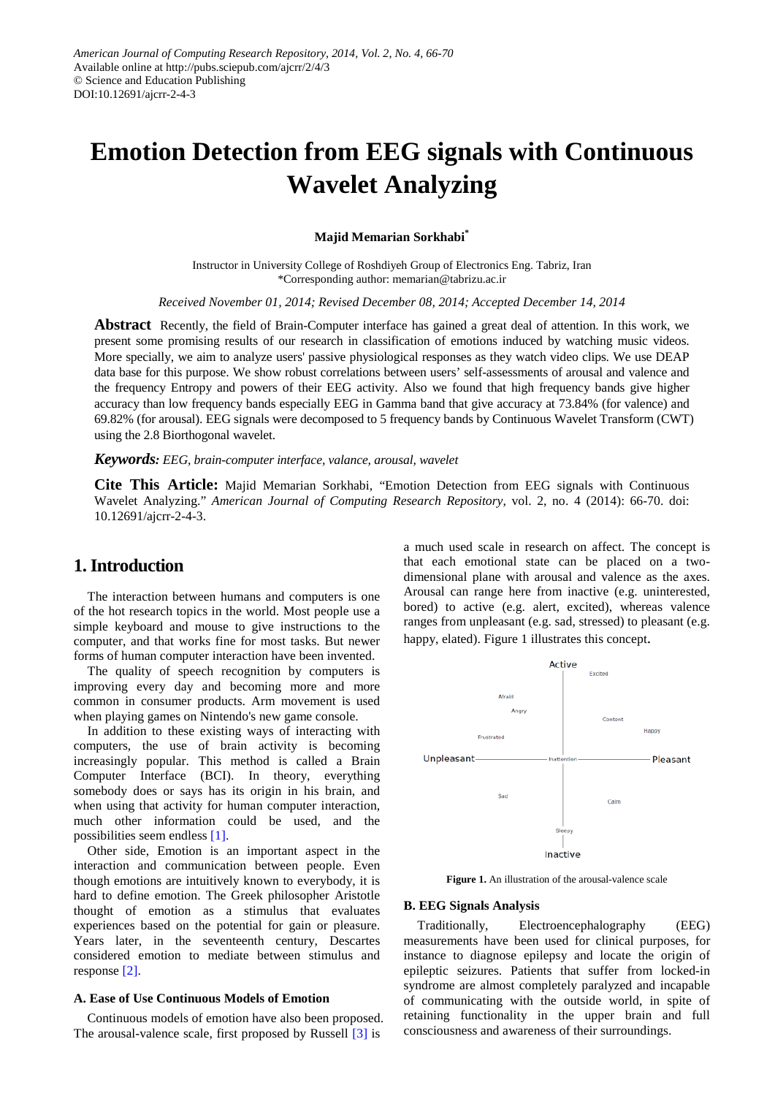# **Emotion Detection from EEG signals with Continuous Wavelet Analyzing**

#### **Majid Memarian Sorkhabi\***

Instructor in University College of Roshdiyeh Group of Electronics Eng. Tabriz, Iran \*Corresponding author: memarian@tabrizu.ac.ir

*Received November 01, 2014; Revised December 08, 2014; Accepted December 14, 2014*

**Abstract** Recently, the field of Brain-Computer interface has gained a great deal of attention. In this work, we present some promising results of our research in classification of emotions induced by watching music videos. More specially, we aim to analyze users' passive physiological responses as they watch video clips. We use DEAP data base for this purpose. We show robust correlations between users' self-assessments of arousal and valence and the frequency Entropy and powers of their EEG activity. Also we found that high frequency bands give higher accuracy than low frequency bands especially EEG in Gamma band that give accuracy at 73.84% (for valence) and 69.82% (for arousal). EEG signals were decomposed to 5 frequency bands by Continuous Wavelet Transform (CWT) using the 2.8 Biorthogonal wavelet.

#### *Keywords: EEG, brain-computer interface, valance, arousal, wavelet*

**Cite This Article:** Majid Memarian Sorkhabi, "Emotion Detection from EEG signals with Continuous Wavelet Analyzing." *American Journal of Computing Research Repository*, vol. 2, no. 4 (2014): 66-70. doi: 10.12691/ajcrr-2-4-3.

## **1. Introduction**

The interaction between humans and computers is one of the hot research topics in the world. Most people use a simple keyboard and mouse to give instructions to the computer, and that works fine for most tasks. But newer forms of human computer interaction have been invented.

The quality of speech recognition by computers is improving every day and becoming more and more common in consumer products. Arm movement is used when playing games on Nintendo's new game console.

In addition to these existing ways of interacting with computers, the use of brain activity is becoming increasingly popular. This method is called a Brain Computer Interface (BCI). In theory, everything somebody does or says has its origin in his brain, and when using that activity for human computer interaction, much other information could be used, and the possibilities seem endless [\[1\].](#page-4-0)

Other side, Emotion is an important aspect in the interaction and communication between people. Even though emotions are intuitively known to everybody, it is hard to define emotion. The Greek philosopher Aristotle thought of emotion as a stimulus that evaluates experiences based on the potential for gain or pleasure. Years later, in the seventeenth century, Descartes considered emotion to mediate between stimulus and response [\[2\].](#page-4-1)

#### **A. Ease of Use Continuous Models of Emotion**

Continuous models of emotion have also been proposed. The arousal-valence scale, first proposed by Russell [\[3\]](#page-4-2) is

a much used scale in research on affect. The concept is that each emotional state can be placed on a twodimensional plane with arousal and valence as the axes. Arousal can range here from inactive (e.g. uninterested, bored) to active (e.g. alert, excited), whereas valence ranges from unpleasant (e.g. sad, stressed) to pleasant (e.g. happy, elated). Figure 1 illustrates this concept.



**Figure 1.** An illustration of the arousal-valence scale

#### **B. EEG Signals Analysis**

Traditionally, Electroencephalography (EEG) measurements have been used for clinical purposes, for instance to diagnose epilepsy and locate the origin of epileptic seizures. Patients that suffer from locked-in syndrome are almost completely paralyzed and incapable of communicating with the outside world, in spite of retaining functionality in the upper brain and full consciousness and awareness of their surroundings.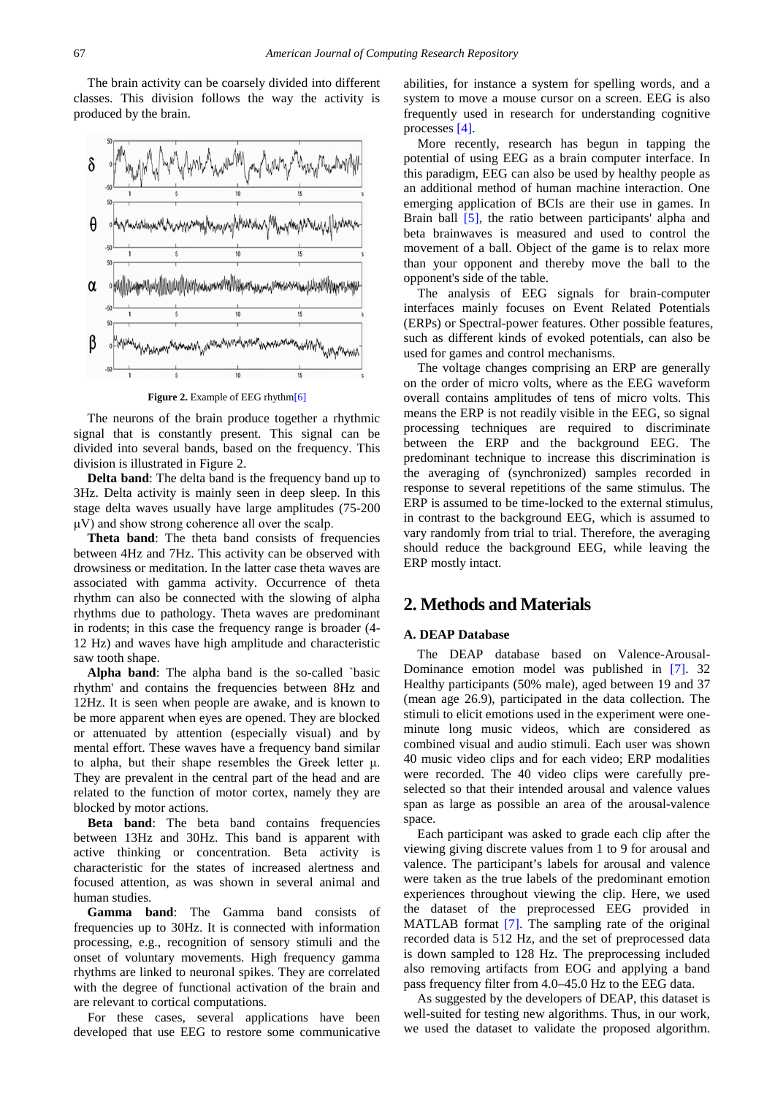The brain activity can be coarsely divided into different classes. This division follows the way the activity is produced by the brain.



**Figure 2.** Example of EEG rhyth[m\[6\]](#page-4-3)

The neurons of the brain produce together a rhythmic signal that is constantly present. This signal can be divided into several bands, based on the frequency. This division is illustrated in Figure 2.

**Delta band**: The delta band is the frequency band up to 3Hz. Delta activity is mainly seen in deep sleep. In this stage delta waves usually have large amplitudes (75-200 μV) and show strong coherence all over the scalp.

**Theta band**: The theta band consists of frequencies between 4Hz and 7Hz. This activity can be observed with drowsiness or meditation. In the latter case theta waves are associated with gamma activity. Occurrence of theta rhythm can also be connected with the slowing of alpha rhythms due to pathology. Theta waves are predominant in rodents; in this case the frequency range is broader (4- 12 Hz) and waves have high amplitude and characteristic saw tooth shape.

**Alpha band**: The alpha band is the so-called `basic rhythm' and contains the frequencies between 8Hz and 12Hz. It is seen when people are awake, and is known to be more apparent when eyes are opened. They are blocked or attenuated by attention (especially visual) and by mental effort. These waves have a frequency band similar to alpha, but their shape resembles the Greek letter μ. They are prevalent in the central part of the head and are related to the function of motor cortex, namely they are blocked by motor actions.

**Beta band**: The beta band contains frequencies between 13Hz and 30Hz. This band is apparent with active thinking or concentration. Beta activity is characteristic for the states of increased alertness and focused attention, as was shown in several animal and human studies.

**Gamma band**: The Gamma band consists of frequencies up to 30Hz. It is connected with information processing, e.g., recognition of sensory stimuli and the onset of voluntary movements. High frequency gamma rhythms are linked to neuronal spikes. They are correlated with the degree of functional activation of the brain and are relevant to cortical computations.

For these cases, several applications have been developed that use EEG to restore some communicative

abilities, for instance a system for spelling words, and a system to move a mouse cursor on a screen. EEG is also frequently used in research for understanding cognitive processes [\[4\].](#page-4-4)

More recently, research has begun in tapping the potential of using EEG as a brain computer interface. In this paradigm, EEG can also be used by healthy people as an additional method of human machine interaction. One emerging application of BCIs are their use in games. In Brain ball [\[5\],](#page-4-5) the ratio between participants' alpha and beta brainwaves is measured and used to control the movement of a ball. Object of the game is to relax more than your opponent and thereby move the ball to the opponent's side of the table.

The analysis of EEG signals for brain-computer interfaces mainly focuses on Event Related Potentials (ERPs) or Spectral-power features. Other possible features, such as different kinds of evoked potentials, can also be used for games and control mechanisms.

The voltage changes comprising an ERP are generally on the order of micro volts, where as the EEG waveform overall contains amplitudes of tens of micro volts. This means the ERP is not readily visible in the EEG, so signal processing techniques are required to discriminate between the ERP and the background EEG. The predominant technique to increase this discrimination is the averaging of (synchronized) samples recorded in response to several repetitions of the same stimulus. The ERP is assumed to be time-locked to the external stimulus, in contrast to the background EEG, which is assumed to vary randomly from trial to trial. Therefore, the averaging should reduce the background EEG, while leaving the ERP mostly intact.

## **2. Methods and Materials**

#### **A. DEAP Database**

The DEAP database based on Valence-Arousal-Dominance emotion model was published in [\[7\].](#page-4-6) 32 Healthy participants (50% male), aged between 19 and 37 (mean age 26.9), participated in the data collection. The stimuli to elicit emotions used in the experiment were oneminute long music videos, which are considered as combined visual and audio stimuli. Each user was shown 40 music video clips and for each video; ERP modalities were recorded. The 40 video clips were carefully preselected so that their intended arousal and valence values span as large as possible an area of the arousal-valence space.

Each participant was asked to grade each clip after the viewing giving discrete values from 1 to 9 for arousal and valence. The participant's labels for arousal and valence were taken as the true labels of the predominant emotion experiences throughout viewing the clip. Here, we used the dataset of the preprocessed EEG provided in MATLAB format [\[7\].](#page-4-6) The sampling rate of the original recorded data is 512 Hz, and the set of preprocessed data is down sampled to 128 Hz. The preprocessing included also removing artifacts from EOG and applying a band pass frequency filter from 4.0–45.0 Hz to the EEG data.

As suggested by the developers of DEAP, this dataset is well-suited for testing new algorithms. Thus, in our work, we used the dataset to validate the proposed algorithm.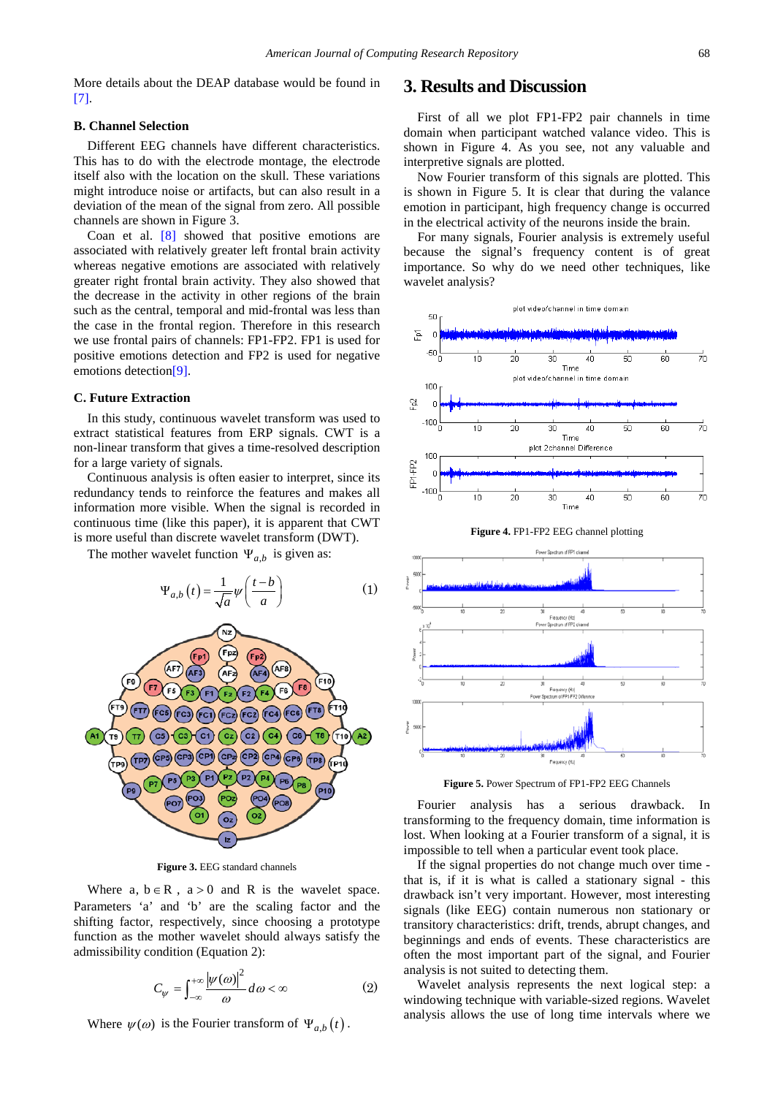More details about the DEAP database would be found in [\[7\].](#page-4-6)

#### **B. Channel Selection**

Different EEG channels have different characteristics. This has to do with the electrode montage, the electrode itself also with the location on the skull. These variations might introduce noise or artifacts, but can also result in a deviation of the mean of the signal from zero. All possible channels are shown in Figure 3.

Coan et al.  $[8]$  showed that positive emotions are associated with relatively greater left frontal brain activity whereas negative emotions are associated with relatively greater right frontal brain activity. They also showed that the decrease in the activity in other regions of the brain such as the central, temporal and mid-frontal was less than the case in the frontal region. Therefore in this research we use frontal pairs of channels: FP1-FP2. FP1 is used for positive emotions detection and FP2 is used for negative emotions detectio[n\[9\].](#page-4-8)

#### **C. Future Extraction**

In this study, continuous wavelet transform was used to extract statistical features from ERP signals. CWT is a non-linear transform that gives a time-resolved description for a large variety of signals.

Continuous analysis is often easier to interpret, since its redundancy tends to reinforce the features and makes all information more visible. When the signal is recorded in continuous time (like this paper), it is apparent that CWT is more useful than discrete wavelet transform (DWT).

The mother wavelet function  $\Psi_{a,b}$  is given as:



**Figure 3.** EEG standard channels

Where  $a, b \in R$ ,  $a > 0$  and R is the wavelet space. Parameters 'a' and 'b' are the scaling factor and the shifting factor, respectively, since choosing a prototype function as the mother wavelet should always satisfy the admissibility condition (Equation 2):

$$
C_{\psi} = \int_{-\infty}^{+\infty} \frac{|\psi(\omega)|^2}{\omega} d\omega < \infty
$$
 (2)

Where  $\psi(\omega)$  is the Fourier transform of  $\Psi_{a,b}(t)$ .

## **3. Results and Discussion**

First of all we plot FP1-FP2 pair channels in time domain when participant watched valance video. This is shown in Figure 4. As you see, not any valuable and interpretive signals are plotted.

Now Fourier transform of this signals are plotted. This is shown in Figure 5. It is clear that during the valance emotion in participant, high frequency change is occurred in the electrical activity of the neurons inside the brain.

For many signals, Fourier analysis is extremely useful because the signal's frequency content is of great importance. So why do we need other techniques, like wavelet analysis?





**Figure 5.** Power Spectrum of FP1-FP2 EEG Channels

Fourier analysis has a serious drawback. In transforming to the frequency domain, time information is lost. When looking at a Fourier transform of a signal, it is impossible to tell when a particular event took place.

If the signal properties do not change much over time that is, if it is what is called a stationary signal - this drawback isn't very important. However, most interesting signals (like EEG) contain numerous non stationary or transitory characteristics: drift, trends, abrupt changes, and beginnings and ends of events. These characteristics are often the most important part of the signal, and Fourier analysis is not suited to detecting them.

Wavelet analysis represents the next logical step: a windowing technique with variable-sized regions. Wavelet analysis allows the use of long time intervals where we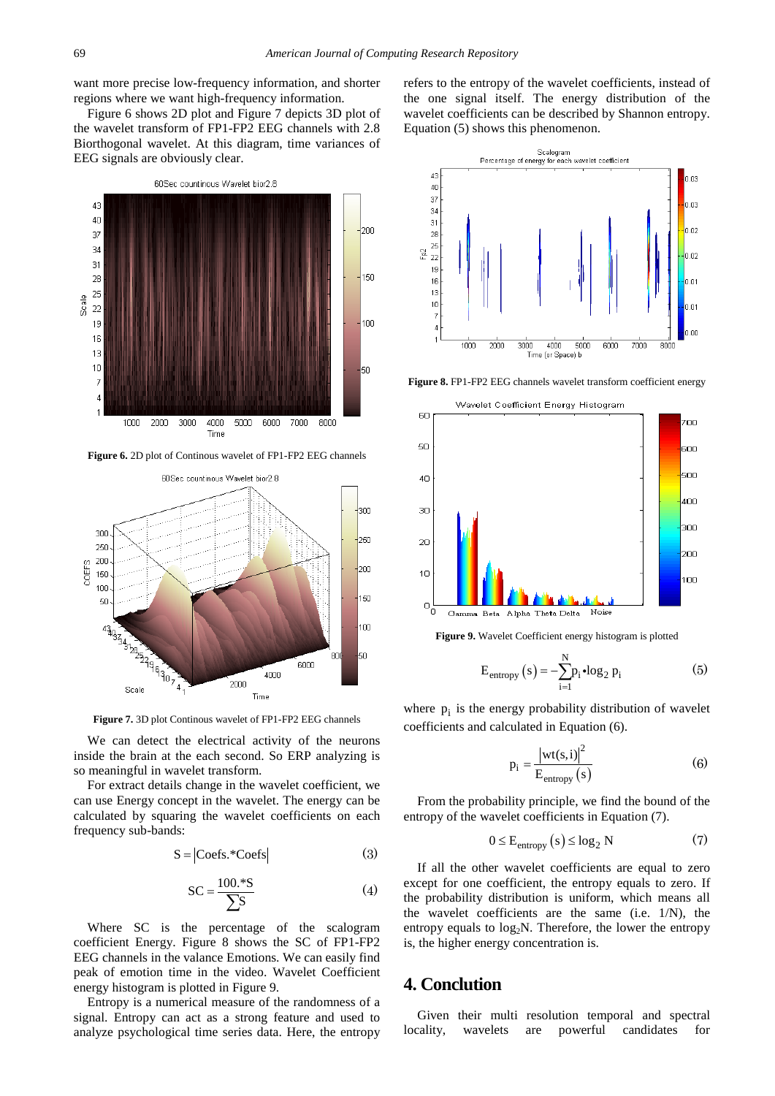want more precise low-frequency information, and shorter regions where we want high-frequency information.

Figure 6 shows 2D plot and Figure 7 depicts 3D plot of the wavelet transform of FP1-FP2 EEG channels with 2.8 Biorthogonal wavelet. At this diagram, time variances of EEG signals are obviously clear.



**Figure 6.** 2D plot of Continous wavelet of FP1-FP2 EEG channels



**Figure 7.** 3D plot Continous wavelet of FP1-FP2 EEG channels

We can detect the electrical activity of the neurons inside the brain at the each second. So ERP analyzing is so meaningful in wavelet transform.

For extract details change in the wavelet coefficient, we can use Energy concept in the wavelet. The energy can be calculated by squaring the wavelet coefficients on each frequency sub-bands:

$$
S = |Coefs. *Coefs|
$$
 (3)

$$
SC = \frac{100.^{*}S}{\sum S}
$$
 (4)

Where SC is the percentage of the scalogram coefficient Energy. Figure 8 shows the SC of FP1-FP2 EEG channels in the valance Emotions. We can easily find peak of emotion time in the video. Wavelet Coefficient energy histogram is plotted in Figure 9.

Entropy is a numerical measure of the randomness of a signal. Entropy can act as a strong feature and used to analyze psychological time series data. Here, the entropy refers to the entropy of the wavelet coefficients, instead of the one signal itself. The energy distribution of the wavelet coefficients can be described by Shannon entropy. Equation (5) shows this phenomenon.



**Figure 8.** FP1-FP2 EEG channels wavelet transform coefficient energy



**Figure 9.** Wavelet Coefficient energy histogram is plotted

$$
E_{entropy}(s) = -\sum_{i=1}^{N} p_i \cdot \log_2 p_i \tag{5}
$$

where  $p_i$  is the energy probability distribution of wavelet coefficients and calculated in Equation (6).

$$
p_i = \frac{|wt(s,i)|^2}{E_{entropy}(s)}
$$
 (6)

From the probability principle, we find the bound of the entropy of the wavelet coefficients in Equation (7).

$$
0 \le E_{entropy}(s) \le \log_2 N \tag{7}
$$

If all the other wavelet coefficients are equal to zero except for one coefficient, the entropy equals to zero. If the probability distribution is uniform, which means all the wavelet coefficients are the same (i.e. 1/N), the entropy equals to  $log<sub>2</sub>N$ . Therefore, the lower the entropy is, the higher energy concentration is.

## **4. Conclution**

Given their multi resolution temporal and spectral locality, wavelets are powerful candidates for